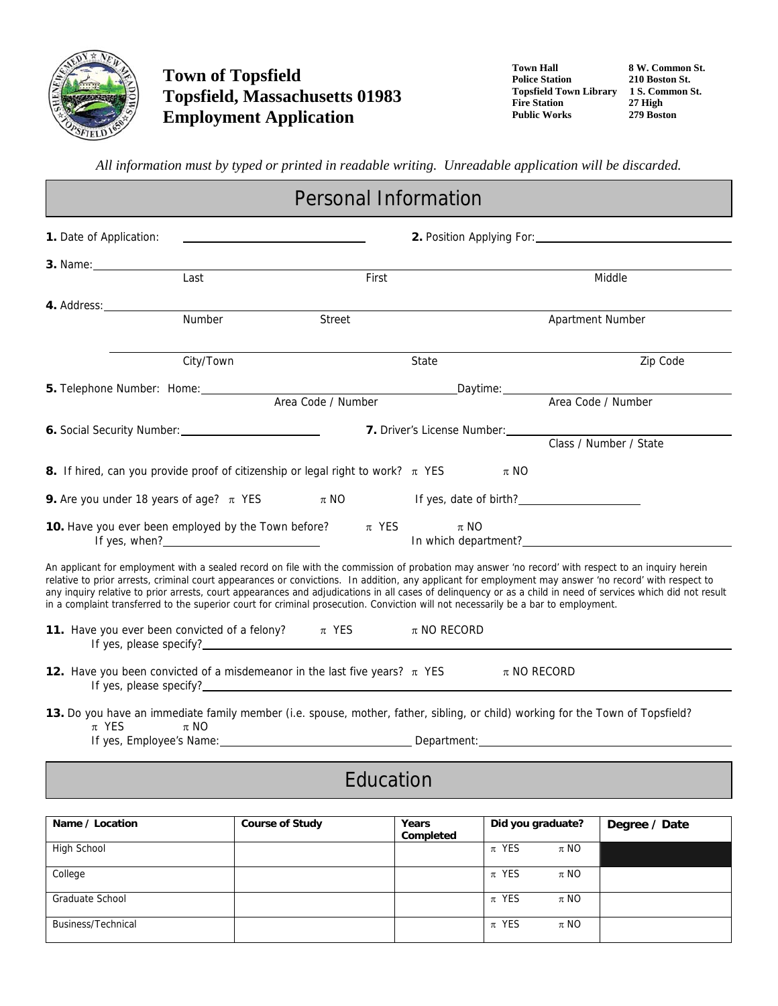

I

**Town of Topsfield Topsfield, Massachusetts 01983 Employment Application**

**Town Hall 8 W. Common St.<br>
Police Station 210 Boston St. Topsfield Town Library 1 S. Common St.<br>Fire Station 27 High** Fire Station 27 High<br>Public Works 279 Boston **Public Works** 

**210 Boston St.** 

*All information must by typed or printed in readable writing. Unreadable application will be discarded.*

# Personal Information

| 1. Date of Application:                                                       |           |                                                                                                                                                                                                                                | 2. Position Applying For: 1997                                                                                                                                                                                                         |                                                                                                                                                                                                                                                                                                                                                                                                                                                                               |  |  |
|-------------------------------------------------------------------------------|-----------|--------------------------------------------------------------------------------------------------------------------------------------------------------------------------------------------------------------------------------|----------------------------------------------------------------------------------------------------------------------------------------------------------------------------------------------------------------------------------------|-------------------------------------------------------------------------------------------------------------------------------------------------------------------------------------------------------------------------------------------------------------------------------------------------------------------------------------------------------------------------------------------------------------------------------------------------------------------------------|--|--|
|                                                                               |           |                                                                                                                                                                                                                                |                                                                                                                                                                                                                                        |                                                                                                                                                                                                                                                                                                                                                                                                                                                                               |  |  |
|                                                                               | Last      | First                                                                                                                                                                                                                          |                                                                                                                                                                                                                                        | Middle                                                                                                                                                                                                                                                                                                                                                                                                                                                                        |  |  |
|                                                                               |           |                                                                                                                                                                                                                                |                                                                                                                                                                                                                                        |                                                                                                                                                                                                                                                                                                                                                                                                                                                                               |  |  |
|                                                                               | Number    | <b>Street</b>                                                                                                                                                                                                                  |                                                                                                                                                                                                                                        | Apartment Number                                                                                                                                                                                                                                                                                                                                                                                                                                                              |  |  |
|                                                                               | City/Town | State                                                                                                                                                                                                                          |                                                                                                                                                                                                                                        | Zip Code                                                                                                                                                                                                                                                                                                                                                                                                                                                                      |  |  |
|                                                                               |           |                                                                                                                                                                                                                                |                                                                                                                                                                                                                                        |                                                                                                                                                                                                                                                                                                                                                                                                                                                                               |  |  |
|                                                                               |           |                                                                                                                                                                                                                                |                                                                                                                                                                                                                                        | Daytime: Daytime: Area Code / Number                                                                                                                                                                                                                                                                                                                                                                                                                                          |  |  |
| <b>6.</b> Social Security Number: <u>Container and Social Security Number</u> |           |                                                                                                                                                                                                                                | 7. Driver's License Number:                                                                                                                                                                                                            |                                                                                                                                                                                                                                                                                                                                                                                                                                                                               |  |  |
|                                                                               |           |                                                                                                                                                                                                                                |                                                                                                                                                                                                                                        | Class / Number / State                                                                                                                                                                                                                                                                                                                                                                                                                                                        |  |  |
|                                                                               |           | 8. If hired, can you provide proof of citizenship or legal right to work? $\pi$ YES                                                                                                                                            | $\pi$ NO                                                                                                                                                                                                                               |                                                                                                                                                                                                                                                                                                                                                                                                                                                                               |  |  |
|                                                                               |           | <b>9.</b> Are you under 18 years of age? $\pi$ YES $\pi$ NO                                                                                                                                                                    | If yes, date of birth?<br><u>Letter and the summan set of the set of the set of the set of the set of the set of the set of the set of the set of the set of the set of the set of the set of the set of the set of the set of the</u> |                                                                                                                                                                                                                                                                                                                                                                                                                                                                               |  |  |
|                                                                               |           | <b>10.</b> Have you ever been employed by the Town before? $\pi$ YES                                                                                                                                                           | $\pi$ NO                                                                                                                                                                                                                               | In which department?<br><u> </u>                                                                                                                                                                                                                                                                                                                                                                                                                                              |  |  |
|                                                                               |           | in a complaint transferred to the superior court for criminal prosecution. Conviction will not necessarily be a bar to employment.                                                                                             |                                                                                                                                                                                                                                        | An applicant for employment with a sealed record on file with the commission of probation may answer 'no record' with respect to an inquiry herein<br>relative to prior arrests, criminal court appearances or convictions. In addition, any applicant for employment may answer 'no record' with respect to<br>any inquiry relative to prior arrests, court appearances and adjudications in all cases of delinquency or as a child in need of services which did not result |  |  |
|                                                                               |           | <b>11.</b> Have you ever been convicted of a felony? $\pi$ YES                                                                                                                                                                 | $\pi$ NO RECORD                                                                                                                                                                                                                        |                                                                                                                                                                                                                                                                                                                                                                                                                                                                               |  |  |
|                                                                               |           | <b>12.</b> Have you been convicted of a misdemeanor in the last five years? $\pi$ YES $\pi$ NO RECORD                                                                                                                          |                                                                                                                                                                                                                                        |                                                                                                                                                                                                                                                                                                                                                                                                                                                                               |  |  |
| $\pi$ YES                                                                     | $\pi$ NO  | 13. Do you have an immediate family member (i.e. spouse, mother, father, sibling, or child) working for the Town of Topsfield?                                                                                                 |                                                                                                                                                                                                                                        |                                                                                                                                                                                                                                                                                                                                                                                                                                                                               |  |  |
|                                                                               |           | If yes, Employee's Name: example and the Department: example and the Department: example and the Department: example and the Department: example and the Department: example and the Department: example and the Department: e |                                                                                                                                                                                                                                        |                                                                                                                                                                                                                                                                                                                                                                                                                                                                               |  |  |
|                                                                               |           |                                                                                                                                                                                                                                |                                                                                                                                                                                                                                        |                                                                                                                                                                                                                                                                                                                                                                                                                                                                               |  |  |

# Education

| Name / Location           | <b>Course of Study</b> | Years<br>Completed | Did you graduate? |          | Degree / Date |
|---------------------------|------------------------|--------------------|-------------------|----------|---------------|
| High School               |                        |                    | $\pi$ YES         | $\pi$ NO |               |
| College                   |                        |                    | $\pi$ YES         | $\pi$ NO |               |
| Graduate School           |                        |                    | $\pi$ YES         | $\pi$ NO |               |
| <b>Business/Technical</b> |                        |                    | $\pi$ YES         | $\pi$ NO |               |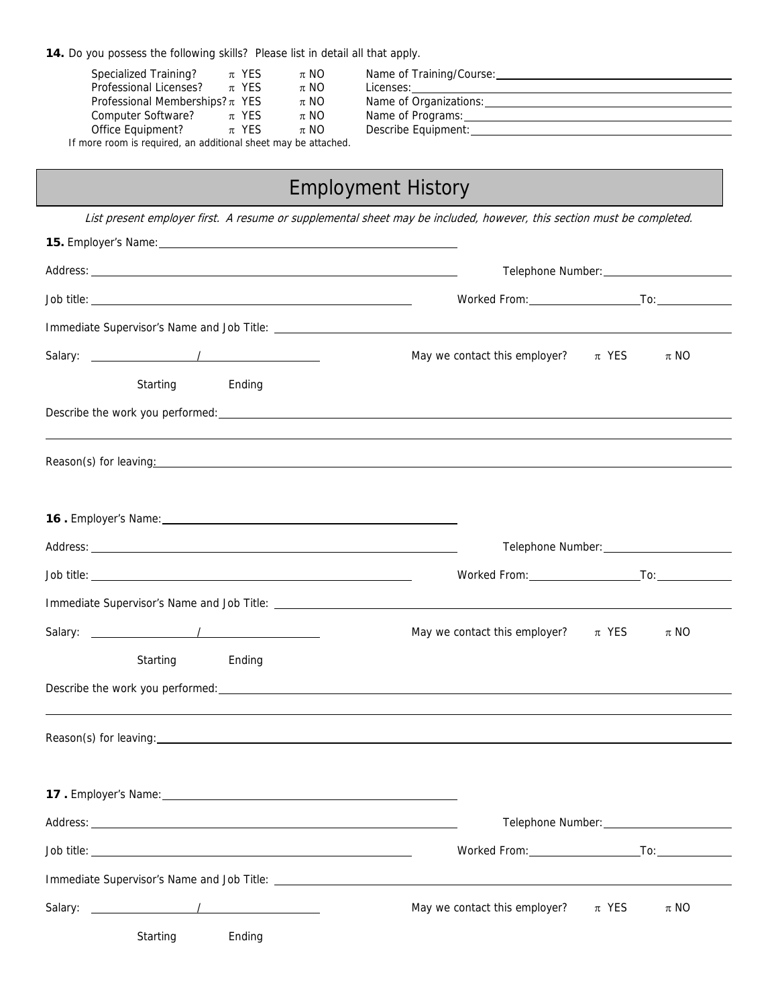#### **14.** Do you possess the following skills? Please list in detail all that apply.

| Specialized Training?<br>$\pi$ YES                             | $\pi$ NO | Name of Training/Course: |
|----------------------------------------------------------------|----------|--------------------------|
| Professional Licenses?<br>$\pi$ YES                            | $\pi$ NO | Licenses:                |
| Professional Memberships? $\pi$ YES                            | $\pi$ NO | Name of Organizations:   |
| Computer Software?<br>$\pi$ YES                                | $\pi$ NO | Name of Programs:        |
| Office Equipment?<br>$\pi$ YES                                 | $\pi$ NO | Describe Equipment:      |
| If more room is required, an additional sheet may be attached. |          |                          |

# Employment History

List present employer first. A resume or supplemental sheet may be included, however, this section must be completed.

|                                                                                                                                                                                                                                | Worked From: To: To: To:                                                                                                                                                                                                       |  |  |  |
|--------------------------------------------------------------------------------------------------------------------------------------------------------------------------------------------------------------------------------|--------------------------------------------------------------------------------------------------------------------------------------------------------------------------------------------------------------------------------|--|--|--|
|                                                                                                                                                                                                                                |                                                                                                                                                                                                                                |  |  |  |
|                                                                                                                                                                                                                                | May we contact this employer? $\pi$ YES<br>$\pi$ NO                                                                                                                                                                            |  |  |  |
| Starting Ending                                                                                                                                                                                                                |                                                                                                                                                                                                                                |  |  |  |
|                                                                                                                                                                                                                                |                                                                                                                                                                                                                                |  |  |  |
|                                                                                                                                                                                                                                | Reason(s) for leaving: the contract of the contract of the contract of the contract of the contract of the contract of the contract of the contract of the contract of the contract of the contract of the contract of the con |  |  |  |
| 16. Employer's Name: 18. Employer's Name:                                                                                                                                                                                      |                                                                                                                                                                                                                                |  |  |  |
|                                                                                                                                                                                                                                |                                                                                                                                                                                                                                |  |  |  |
|                                                                                                                                                                                                                                | Worked From: To: To: To:                                                                                                                                                                                                       |  |  |  |
|                                                                                                                                                                                                                                |                                                                                                                                                                                                                                |  |  |  |
|                                                                                                                                                                                                                                | May we contact this employer? $\pi$ YES<br>$\pi$ NO                                                                                                                                                                            |  |  |  |
| Starting Ending                                                                                                                                                                                                                |                                                                                                                                                                                                                                |  |  |  |
|                                                                                                                                                                                                                                | Describe the work you performed: example and the set of the set of the set of the set of the set of the set of the set of the set of the set of the set of the set of the set of the set of the set of the set of the set of t |  |  |  |
| Reason(s) for leaving: example and a series of the series of the series of the series of the series of the series of the series of the series of the series of the series of the series of the series of the series of the ser |                                                                                                                                                                                                                                |  |  |  |
|                                                                                                                                                                                                                                |                                                                                                                                                                                                                                |  |  |  |
|                                                                                                                                                                                                                                |                                                                                                                                                                                                                                |  |  |  |
|                                                                                                                                                                                                                                |                                                                                                                                                                                                                                |  |  |  |
|                                                                                                                                                                                                                                |                                                                                                                                                                                                                                |  |  |  |
|                                                                                                                                                                                                                                | May we contact this employer?<br>$\pi$ YES<br>$\pi$ NO                                                                                                                                                                         |  |  |  |
| Starting<br>Ending                                                                                                                                                                                                             |                                                                                                                                                                                                                                |  |  |  |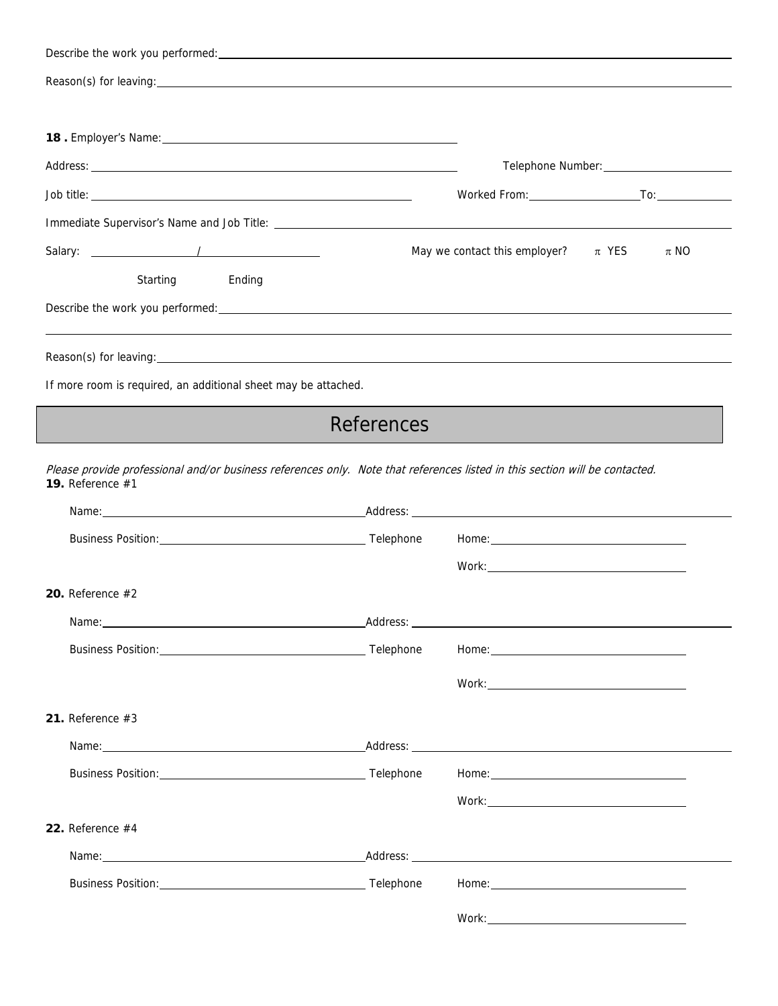|                                                                                                                                                                                                                                                   |                   | Worked From: To: To: To:                                                                                                                                                                                                             |
|---------------------------------------------------------------------------------------------------------------------------------------------------------------------------------------------------------------------------------------------------|-------------------|--------------------------------------------------------------------------------------------------------------------------------------------------------------------------------------------------------------------------------------|
|                                                                                                                                                                                                                                                   |                   |                                                                                                                                                                                                                                      |
|                                                                                                                                                                                                                                                   |                   | May we contact this employer? $\pi$ YES<br>$\pi$ NO                                                                                                                                                                                  |
| Ending<br>Starting                                                                                                                                                                                                                                |                   |                                                                                                                                                                                                                                      |
|                                                                                                                                                                                                                                                   |                   |                                                                                                                                                                                                                                      |
|                                                                                                                                                                                                                                                   |                   |                                                                                                                                                                                                                                      |
|                                                                                                                                                                                                                                                   |                   |                                                                                                                                                                                                                                      |
| If more room is required, an additional sheet may be attached.                                                                                                                                                                                    |                   |                                                                                                                                                                                                                                      |
|                                                                                                                                                                                                                                                   | <b>References</b> |                                                                                                                                                                                                                                      |
| 19. Reference #1<br>Name: Name: Name: Name: Name: Name: Name: Name: Name: Name: Name: Name: Name: Name: Name: Name: Name: Name: Name: Name: Name: Name: Name: Name: Name: Name: Name: Name: Name: Name: Name: Name: Name: Name: Name: Name: Name: |                   |                                                                                                                                                                                                                                      |
| Business Position: Telephone                                                                                                                                                                                                                      |                   |                                                                                                                                                                                                                                      |
|                                                                                                                                                                                                                                                   |                   | Work: Work: 2008                                                                                                                                                                                                                     |
| 20. Reference $#2$                                                                                                                                                                                                                                |                   |                                                                                                                                                                                                                                      |
| Name:                                                                                                                                                                                                                                             | Address:          | <u>and the state of the state of the state of the state of the state of the state of the state of the state of the state of the state of the state of the state of the state of the state of the state of the state of the state</u> |
|                                                                                                                                                                                                                                                   |                   |                                                                                                                                                                                                                                      |
|                                                                                                                                                                                                                                                   |                   |                                                                                                                                                                                                                                      |
|                                                                                                                                                                                                                                                   |                   |                                                                                                                                                                                                                                      |
| 21. Reference $#3$                                                                                                                                                                                                                                |                   |                                                                                                                                                                                                                                      |
|                                                                                                                                                                                                                                                   |                   |                                                                                                                                                                                                                                      |
|                                                                                                                                                                                                                                                   |                   |                                                                                                                                                                                                                                      |
|                                                                                                                                                                                                                                                   |                   |                                                                                                                                                                                                                                      |
| 22. Reference #4                                                                                                                                                                                                                                  |                   |                                                                                                                                                                                                                                      |
| Name: Name and the second contract of the second contract of the second contract of the second contract of the second contract of the second contract of the second contract of the second contract of the second contract of                     |                   |                                                                                                                                                                                                                                      |
|                                                                                                                                                                                                                                                   |                   |                                                                                                                                                                                                                                      |
|                                                                                                                                                                                                                                                   |                   |                                                                                                                                                                                                                                      |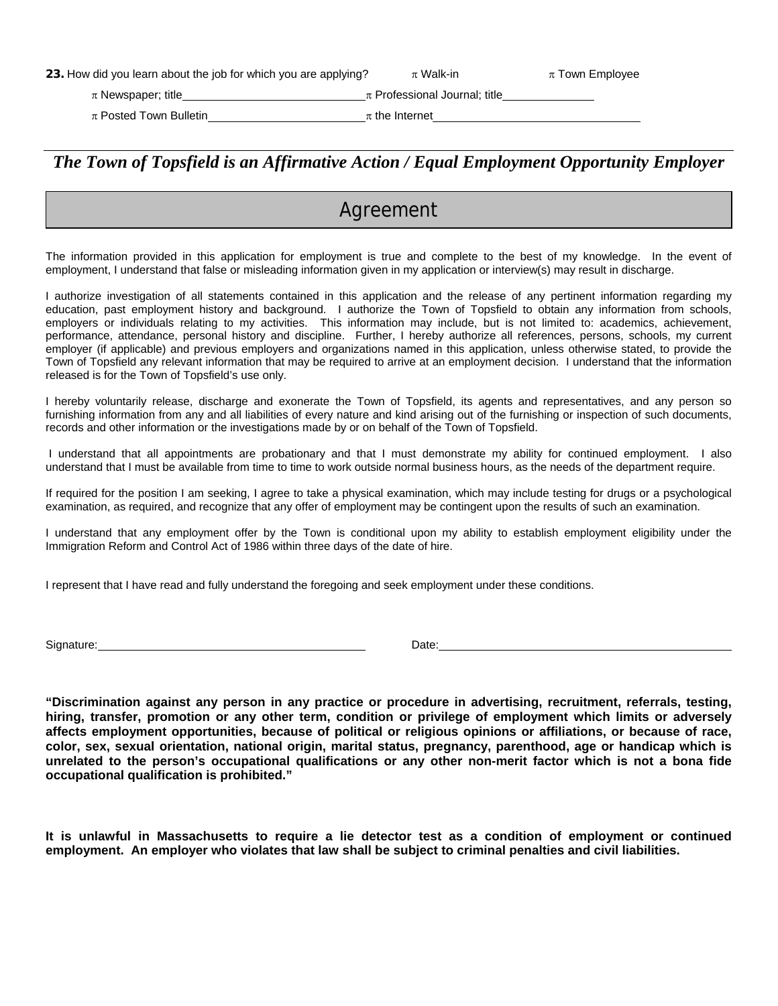**23.** How did you learn about the job for which you are applying?  $\pi$  Walk-in  $\pi$  Town Employee

 $\pi$  Newspaper; title  $\pi$  Professional Journal; title

 $\pi$  Posted Town Bulletin  $\pi$  the Internet

#### *The Town of Topsfield is an Affirmative Action / Equal Employment Opportunity Employer*

### Agreement

The information provided in this application for employment is true and complete to the best of my knowledge. In the event of employment, I understand that false or misleading information given in my application or interview(s) may result in discharge.

I authorize investigation of all statements contained in this application and the release of any pertinent information regarding my education, past employment history and background. I authorize the Town of Topsfield to obtain any information from schools, employers or individuals relating to my activities. This information may include, but is not limited to: academics, achievement, performance, attendance, personal history and discipline. Further, I hereby authorize all references, persons, schools, my current employer (if applicable) and previous employers and organizations named in this application, unless otherwise stated, to provide the Town of Topsfield any relevant information that may be required to arrive at an employment decision. I understand that the information released is for the Town of Topsfield's use only.

I hereby voluntarily release, discharge and exonerate the Town of Topsfield, its agents and representatives, and any person so furnishing information from any and all liabilities of every nature and kind arising out of the furnishing or inspection of such documents, records and other information or the investigations made by or on behalf of the Town of Topsfield.

 I understand that all appointments are probationary and that I must demonstrate my ability for continued employment. I also understand that I must be available from time to time to work outside normal business hours, as the needs of the department require.

If required for the position I am seeking, I agree to take a physical examination, which may include testing for drugs or a psychological examination, as required, and recognize that any offer of employment may be contingent upon the results of such an examination.

I understand that any employment offer by the Town is conditional upon my ability to establish employment eligibility under the Immigration Reform and Control Act of 1986 within three days of the date of hire.

I represent that I have read and fully understand the foregoing and seek employment under these conditions.

Signature: Date: Date: Date: Date: Date: Date: Date: Date: Date: Date: Date: Date: Date: Date: Date: Date: Date: Date: Date: Date: Date: Date: Date: Date: Date: Date: Date: Date: Date: Date: Date: Date: Date: Date: Date: D

**"Discrimination against any person in any practice or procedure in advertising, recruitment, referrals, testing, hiring, transfer, promotion or any other term, condition or privilege of employment which limits or adversely affects employment opportunities, because of political or religious opinions or affiliations, or because of race, color, sex, sexual orientation, national origin, marital status, pregnancy, parenthood, age or handicap which is unrelated to the person's occupational qualifications or any other non-merit factor which is not a bona fide occupational qualification is prohibited."** 

**It is unlawful in Massachusetts to require a lie detector test as a condition of employment or continued employment. An employer who violates that law shall be subject to criminal penalties and civil liabilities.**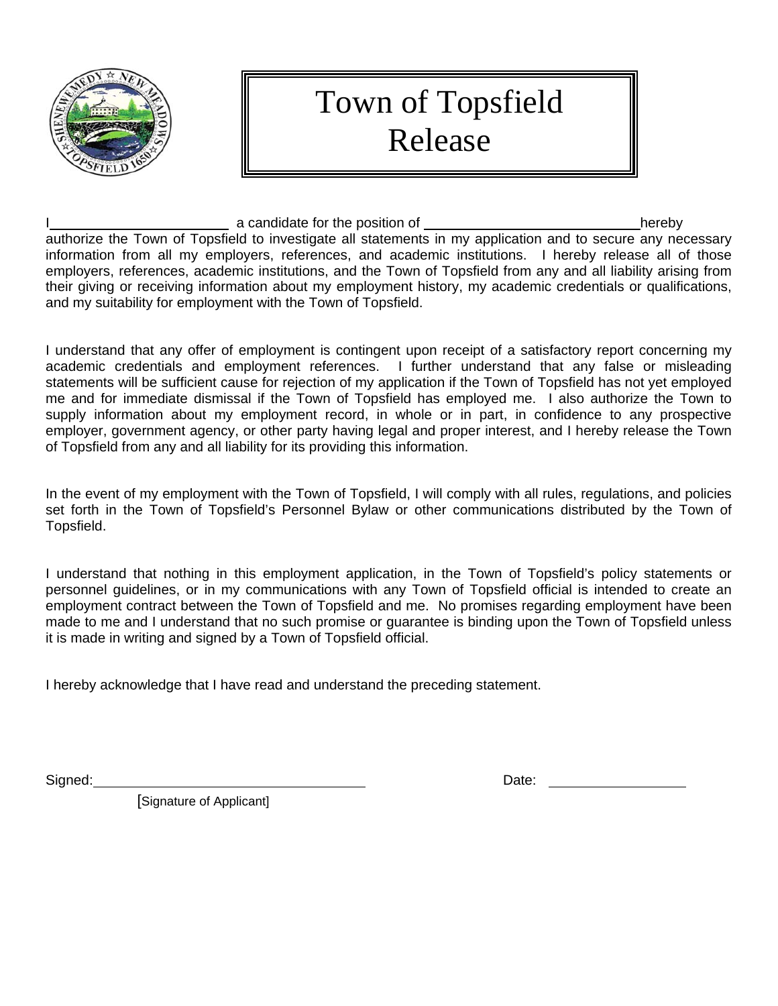

I a candidate for the position of hereby authorize the Town of Topsfield to investigate all statements in my application and to secure any necessary information from all my employers, references, and academic institutions. I hereby release all of those employers, references, academic institutions, and the Town of Topsfield from any and all liability arising from their giving or receiving information about my employment history, my academic credentials or qualifications, and my suitability for employment with the Town of Topsfield.

I understand that any offer of employment is contingent upon receipt of a satisfactory report concerning my academic credentials and employment references. I further understand that any false or misleading statements will be sufficient cause for rejection of my application if the Town of Topsfield has not yet employed me and for immediate dismissal if the Town of Topsfield has employed me. I also authorize the Town to supply information about my employment record, in whole or in part, in confidence to any prospective employer, government agency, or other party having legal and proper interest, and I hereby release the Town of Topsfield from any and all liability for its providing this information.

In the event of my employment with the Town of Topsfield, I will comply with all rules, regulations, and policies set forth in the Town of Topsfield's Personnel Bylaw or other communications distributed by the Town of Topsfield.

I understand that nothing in this employment application, in the Town of Topsfield's policy statements or personnel guidelines, or in my communications with any Town of Topsfield official is intended to create an employment contract between the Town of Topsfield and me. No promises regarding employment have been made to me and I understand that no such promise or guarantee is binding upon the Town of Topsfield unless it is made in writing and signed by a Town of Topsfield official.

I hereby acknowledge that I have read and understand the preceding statement.

Signed: Date:

[Signature of Applicant]